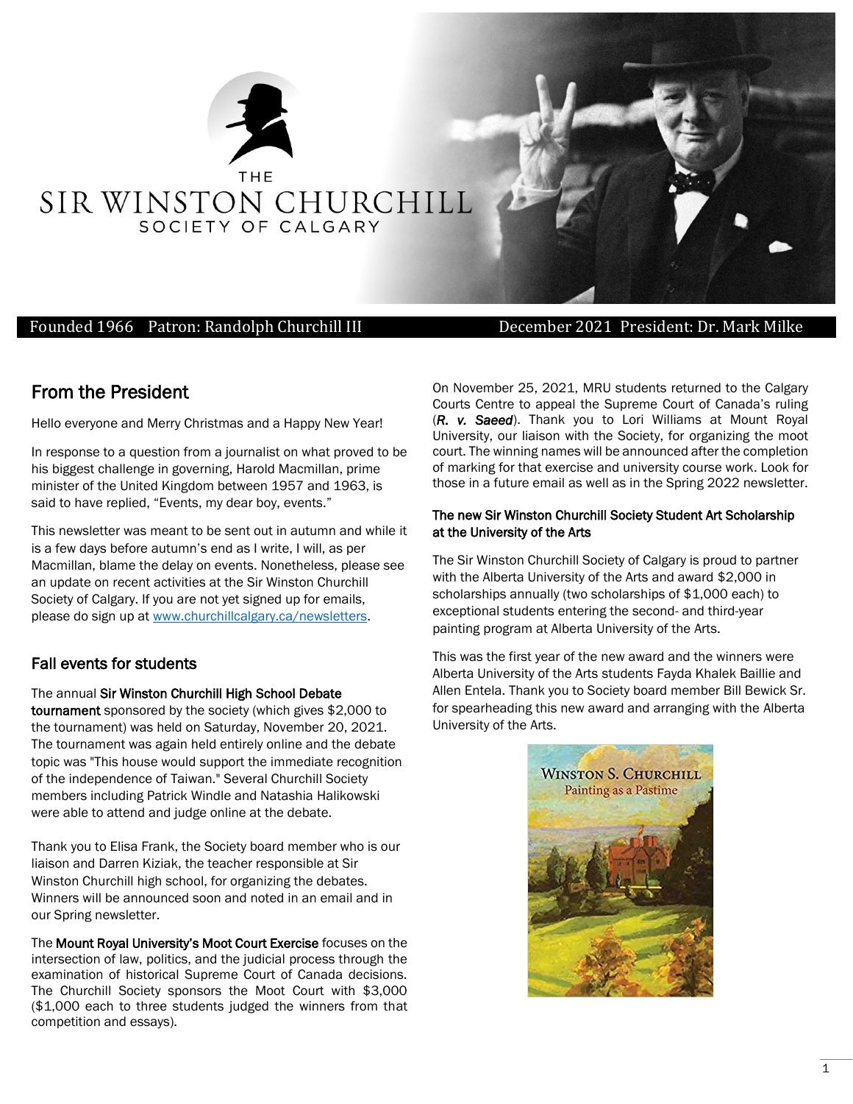

### Founded 1966 Patron: Randolph Churchill III December 2021 President: Dr. Mark Milke

## From the President

Hello everyone and Merry Christmas and a Happy New Year!

In response to a question from a journalist on what proved to be his biggest challenge in governing, Harold Macmillan, prime minister of the United Kingdom between 1957 and 1963, is said to have replied, "Events, my dear boy, events."

This newsletter was meant to be sent out in autumn and while it is a few days before autumn's end as I write, I will, as per Macmillan, blame the delay on events. Nonetheless, please see an update on recent activities at the Sir Winston Churchill Society of Calgary. If you are not yet signed up for emails, please do sign up at [www.churchillcalgary.ca/newsletters.](http://www.churchillcalgary.ca/newsletters)

### Fall events for students

The annual Sir Winston Churchill High School Debate

tournament sponsored by the society (which gives \$2,000 to the tournament) was held on Saturday, November 20, 2021. The tournament was again held entirely online and the debate topic was "This house would support the immediate recognition of the independence of Taiwan." Several Churchill Society members including Patrick Windle and Natashia Halikowski were able to attend and judge online at the debate.

Thank you to Elisa Frank, the Society board member who is our liaison and Darren Kiziak, the teacher responsible at Sir Winston Churchill high school, for organizing the debates. Winners will be announced soon and noted in an email and in our Spring newsletter.

The Mount Royal University's Moot Court Exercise focuses on the intersection of law, politics, and the judicial process through the examination of historical Supreme Court of Canada decisions. The Churchill Society sponsors the Moot Court with \$3,000 (\$1,000 each to three students judged the winners from that competition and essays).

On November 25, 2021, MRU students returned to the Calgary Courts Centre to appeal the Supreme Court of Canada's ruling (*R. v. Saeed*). Thank you to Lori Williams at Mount Royal University, our liaison with the Society, for organizing the moot court. The winning names will be announced after the completion of marking for that exercise and university course work. Look for those in a future email as well as in the Spring 2022 newsletter.

#### The new Sir Winston Churchill Society Student Art Scholarship at the University of the Arts

The Sir Winston Churchill Society of Calgary is proud to partner with the Alberta University of the Arts and award \$2,000 in scholarships annually (two scholarships of \$1,000 each) to exceptional students entering the second- and third-year painting program at Alberta University of the Arts.

This was the first year of the new award and the winners were Alberta University of the Arts students Fayda Khalek Baillie and Allen Entela. Thank you to Society board member Bill Bewick Sr. for spearheading this new award and arranging with the Alberta University of the Arts.

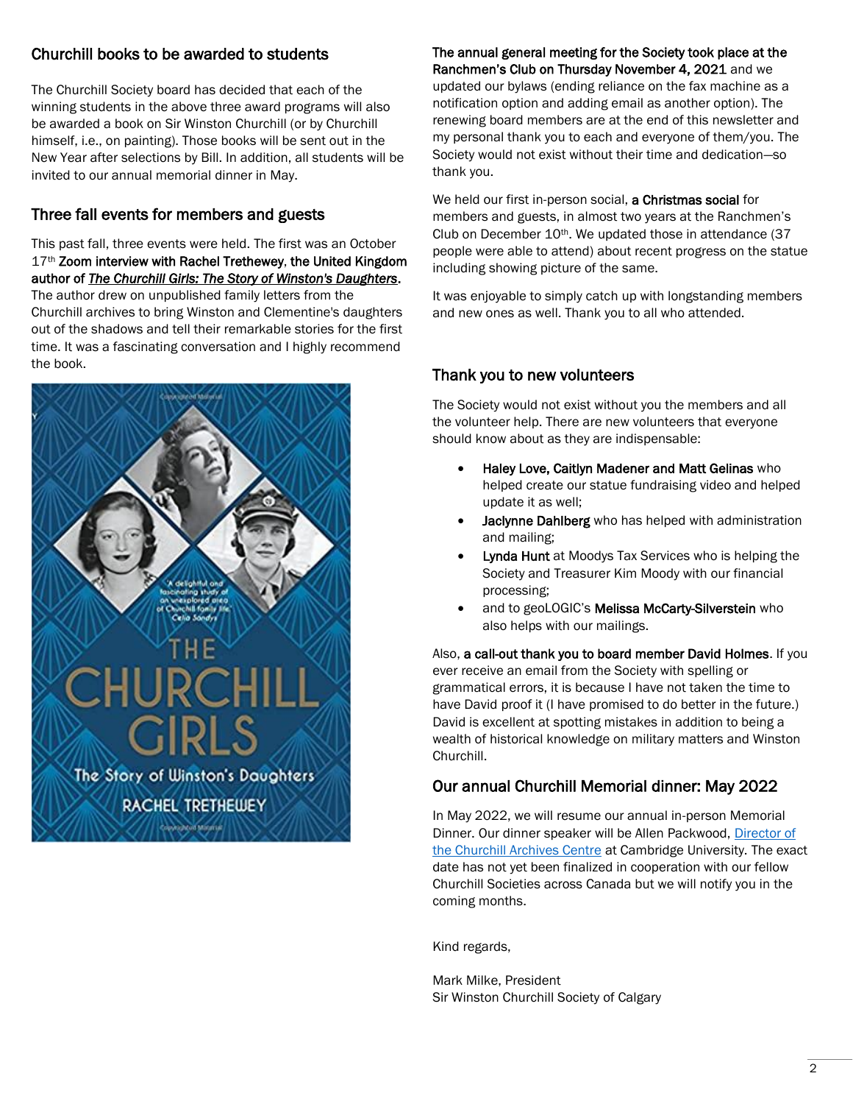### Churchill books to be awarded to students

The Churchill Society board has decided that each of the winning students in the above three award programs will also be awarded a book on Sir Winston Churchill (or by Churchill himself, i.e., on painting). Those books will be sent out in the New Year after selections by Bill. In addition, all students will be invited to our annual memorial dinner in May.

## Three fall events for members and guests

This past fall, three events were held. The first was an October 17<sup>th</sup> Zoom interview with Rachel Trethewey, the United Kingdom author of *[The Churchill Girls: The Story of Winston's Daughters](https://winstonchurchillab.us10.list-manage.com/track/click?u=966d8a17cc5aac73b79f36871&id=b3bdd62c8a&e=d0e474a5ab)*. The author drew on unpublished family letters from the Churchill archives to bring Winston and Clementine's daughters out of the shadows and tell their remarkable stories for the first time. It was a fascinating conversation and I highly recommend the book.



The annual general meeting for the Society took place at the Ranchmen's Club on Thursday November 4, 2021 and we updated our bylaws (ending reliance on the fax machine as a notification option and adding email as another option). The renewing board members are at the end of this newsletter and my personal thank you to each and everyone of them/you. The Society would not exist without their time and dedication—so thank you.

We held our first in-person social, a Christmas social for members and guests, in almost two years at the Ranchmen's Club on December 10<sup>th</sup>. We updated those in attendance (37 people were able to attend) about recent progress on the statue including showing picture of the same.

It was enjoyable to simply catch up with longstanding members and new ones as well. Thank you to all who attended.

### Thank you to new volunteers

The Society would not exist without you the members and all the volunteer help. There are new volunteers that everyone should know about as they are indispensable:

- Haley Love, Caitlyn Madener and Matt Gelinas who helped create our statue fundraising video and helped update it as well;
- Jaclynne Dahlberg who has helped with administration and mailing;
- **Lynda Hunt** at Moodys Tax Services who is helping the Society and Treasurer Kim Moody with our financial processing;
- and to geoLOGIC's Melissa McCarty-Silverstein who also helps with our mailings.

Also, a call-out thank you to board member David Holmes. If you ever receive an email from the Society with spelling or grammatical errors, it is because I have not taken the time to have David proof it (I have promised to do better in the future.) David is excellent at spotting mistakes in addition to being a wealth of historical knowledge on military matters and Winston Churchill.

### Our annual Churchill Memorial dinner: May 2022

In May 2022, we will resume our annual in-person Memorial Dinner. Our dinner speaker will be Allen Packwood, Director of [the Churchill Archives Centre](https://www.chu.cam.ac.uk/people/view/allen-packwood/) at Cambridge University. The exact date has not yet been finalized in cooperation with our fellow Churchill Societies across Canada but we will notify you in the coming months.

Kind regards,

Mark Milke, President Sir Winston Churchill Society of Calgary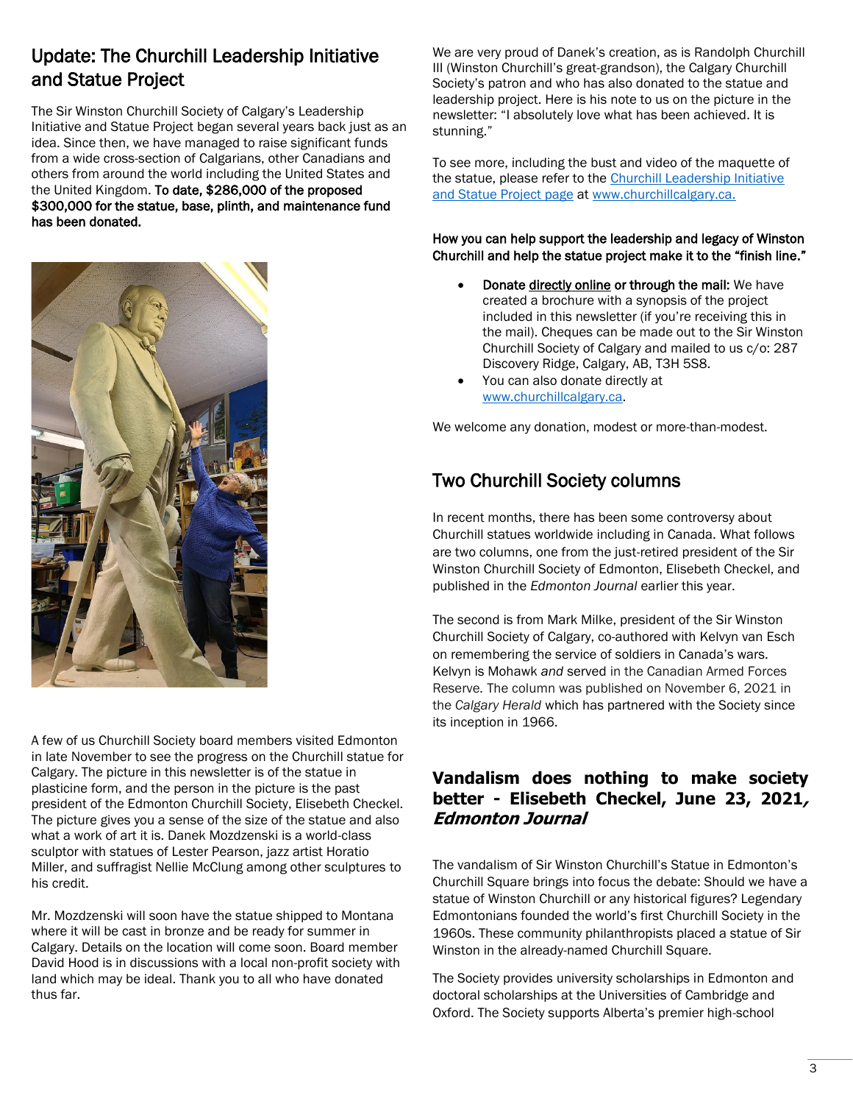# Update: [The Churchill Leadership Initiative](https://www.churchillcalgary.ca/statue.html)  [and Statue Project](https://www.churchillcalgary.ca/statue.html)

The Sir Winston Churchill Society of Calgary's Leadership Initiative and Statue Project began several years back just as an idea. Since then, we have managed to raise significant funds from a wide cross-section of Calgarians, other Canadians and others from around the world including the United States and the United Kingdom. To date, \$286,000 of the proposed \$300,000 for the statue, base, plinth, and maintenance fund has been donated.



A few of us Churchill Society board members visited Edmonton in late November to see the progress on the Churchill statue for Calgary. The picture in this newsletter is of the statue in plasticine form, and the person in the picture is the past president of the Edmonton Churchill Society, Elisebeth Checkel. The picture gives you a sense of the size of the statue and also what a work of art it is. Danek Mozdzenski is a world-class sculptor with statues of Lester Pearson, jazz artist Horatio Miller, and suffragist Nellie McClung among other sculptures to his credit.

Mr. Mozdzenski will soon have the statue shipped to Montana where it will be cast in bronze and be ready for summer in Calgary. Details on the location will come soon. Board member David Hood is in discussions with a local non-profit society with land which may be ideal. Thank you to all who have donated thus far.

We are very proud of Danek's creation, as is Randolph Churchill III (Winston Churchill's great-grandson), the Calgary Churchill Society's patron and who has also donated to the statue and leadership project. Here is his note to us on the picture in the newsletter: "I absolutely love what has been achieved. It is stunning."

To see more, including the bust and video of the maquette of the statue, please refer to the [Churchill Leadership Initiative](https://www.churchillcalgary.ca/statue.html)  [and Statue Project page](https://www.churchillcalgary.ca/statue.html) at [www.churchillcalgary.ca.](http://www.churchillcalgary.ca/)

### How you can help support the leadership and legacy of Winston Churchill and help the statue project make it to the "finish line."

- Donat[e directly online](https://www.churchillcalgary.ca/donate.html) or through the mail: We have created a brochure with a synopsis of the project included in this newsletter (if you're receiving this in the mail). Cheques can be made out to the Sir Winston Churchill Society of Calgary and mailed to us c/o: 287 Discovery Ridge, Calgary, AB, T3H 5S8.
- You can also donate directly at [www.churchillcalgary.ca.](http://www.churchillcalgary.ca/)

We welcome any donation, modest or more-than-modest.

# Two Churchill Society columns

In recent months, there has been some controversy about Churchill statues worldwide including in Canada. What follows are two columns, one from the just-retired president of the Sir Winston Churchill Society of Edmonton, Elisebeth Checkel, and published in the *Edmonton Journal* earlier this year.

The second is from Mark Milke, president of the Sir Winston Churchill Society of Calgary, co-authored with Kelvyn van Esch on remembering the service of soldiers in Canada's wars. Kelvyn is Mohawk *and* servedin the Canadian Armed Forces Reserve*.* The column was published on November 6, 2021 in the *Calgary Herald* which has partnered with the Society since its inception in 1966.

## **Vandalism does nothing to make society better - Elisebeth Checkel, June 23, 2021, Edmonton Journal**

The vandalism of Sir Winston Churchill's Statue in Edmonton's Churchill Square brings into focus the debate: Should we have a statue of Winston Churchill or any historical figures? Legendary Edmontonians founded the world's first Churchill Society in the 1960s. These community philanthropists placed a statue of Sir Winston in the already-named Churchill Square.

The Society provides university scholarships in Edmonton and doctoral scholarships at the Universities of Cambridge and Oxford. The Society supports Alberta's premier high-school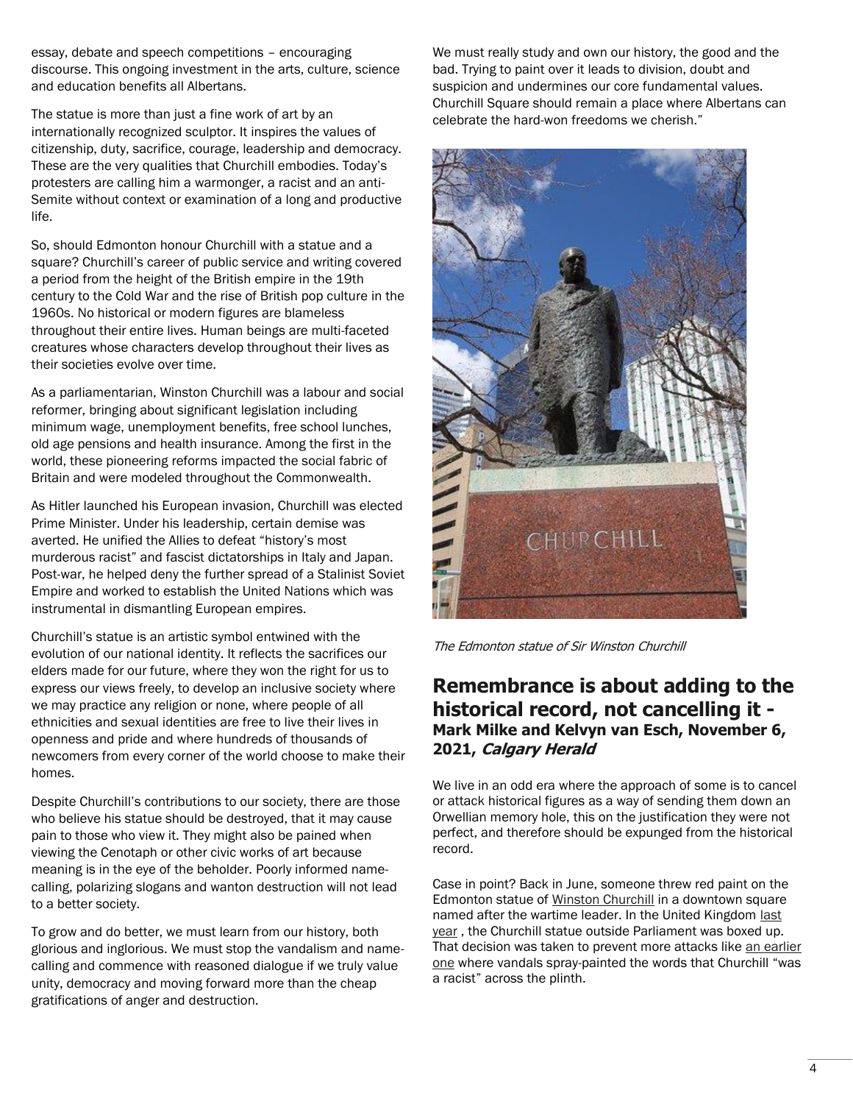essay, debate and speech competitions – encouraging discourse. This ongoing investment in the arts, culture, science and education benefits all Albertans.

The statue is more than just a fine work of art by an internationally recognized sculptor. It inspires the values of citizenship, duty, sacrifice, courage, leadership and democracy. These are the very qualities that Churchill embodies. Today's protesters are calling him a warmonger, a racist and an anti-Semite without context or examination of a long and productive life.

So, should Edmonton honour Churchill with a statue and a square? Churchill's career of public service and writing covered a period from the height of the British empire in the 19th century to the Cold War and the rise of British pop culture in the 1960s. No historical or modern figures are blameless throughout their entire lives. Human beings are multi-faceted creatures whose characters develop throughout their lives as their societies evolve over time.

As a parliamentarian, Winston Churchill was a labour and social reformer, bringing about significant legislation including minimum wage, unemployment benefits, free school lunches, old age pensions and health insurance. Among the first in the world, these pioneering reforms impacted the social fabric of Britain and were modeled throughout the Commonwealth.

As Hitler launched his European invasion, Churchill was elected Prime Minister. Under his leadership, certain demise was averted. He unified the Allies to defeat "history's most murderous racist" and fascist dictatorships in Italy and Japan. Post-war, he helped deny the further spread of a Stalinist Soviet Empire and worked to establish the United Nations which was instrumental in dismantling European empires.

Churchill's statue is an artistic symbol entwined with the evolution of our national identity. It reflects the sacrifices our elders made for our future, where they won the right for us to express our views freely, to develop an inclusive society where we may practice any religion or none, where people of all ethnicities and sexual identities are free to live their lives in openness and pride and where hundreds of thousands of newcomers from every corner of the world choose to make their homes.

Despite Churchill's contributions to our society, there are those who believe his statue should be destroyed, that it may cause pain to those who view it. They might also be pained when viewing the Cenotaph or other civic works of art because meaning is in the eye of the beholder. Poorly informed namecalling, polarizing slogans and wanton destruction will not lead to a better society.

To grow and do better, we must learn from our history, both glorious and inglorious. We must stop the vandalism and namecalling and commence with reasoned dialogue if we truly value unity, democracy and moving forward more than the cheap gratifications of anger and destruction.

We must really study and own our history, the good and the bad. Trying to paint over it leads to division, doubt and suspicion and undermines our core fundamental values. Churchill Square should remain a place where Albertans can celebrate the hard-won freedoms we cherish."



The Edmonton statue of Sir Winston Churchill

# **Remembrance is about adding to the historical record, not cancelling it - Mark Milke and Kelvyn van Esch, November 6, 2021, Calgary Herald**

We live in an odd era where the approach of some is to cancel or attack historical figures as a way of sending them down an Orwellian memory hole, this on the justification they were not perfect, and therefore should be expunged from the historical record.

Case in point? Back in June, someone threw red paint on the Edmonton statue of [Winston Churchill](https://nationalpost.com/opinion/columnists/corbella-woke-totalitarianism-behind-defacing-of-churchill-statue/wcm/6e06cc29-d027-41a4-aee4-f90a71ef8cb2) in a downtown square named after the wartime leader. In the United Kingdom [last](https://www.washingtonpost.com/world/europe/winston-churchill-statue-boris-johnson/2020/06/12/f1dc4a48-acb0-11ea-a43b-be9f6494a87d_story.html)  [year](https://www.washingtonpost.com/world/europe/winston-churchill-statue-boris-johnson/2020/06/12/f1dc4a48-acb0-11ea-a43b-be9f6494a87d_story.html) , the Churchill statue outside Parliament was boxed up. That decision was taken to prevent more attacks like an earlier [one](https://www.independent.co.uk/news/uk/home-news/winston-churchill-racist-graffiti-statue-blm-protest-westminster-a9553476.html) where vandals spray-painted the words that Churchill "was a racist" across the plinth.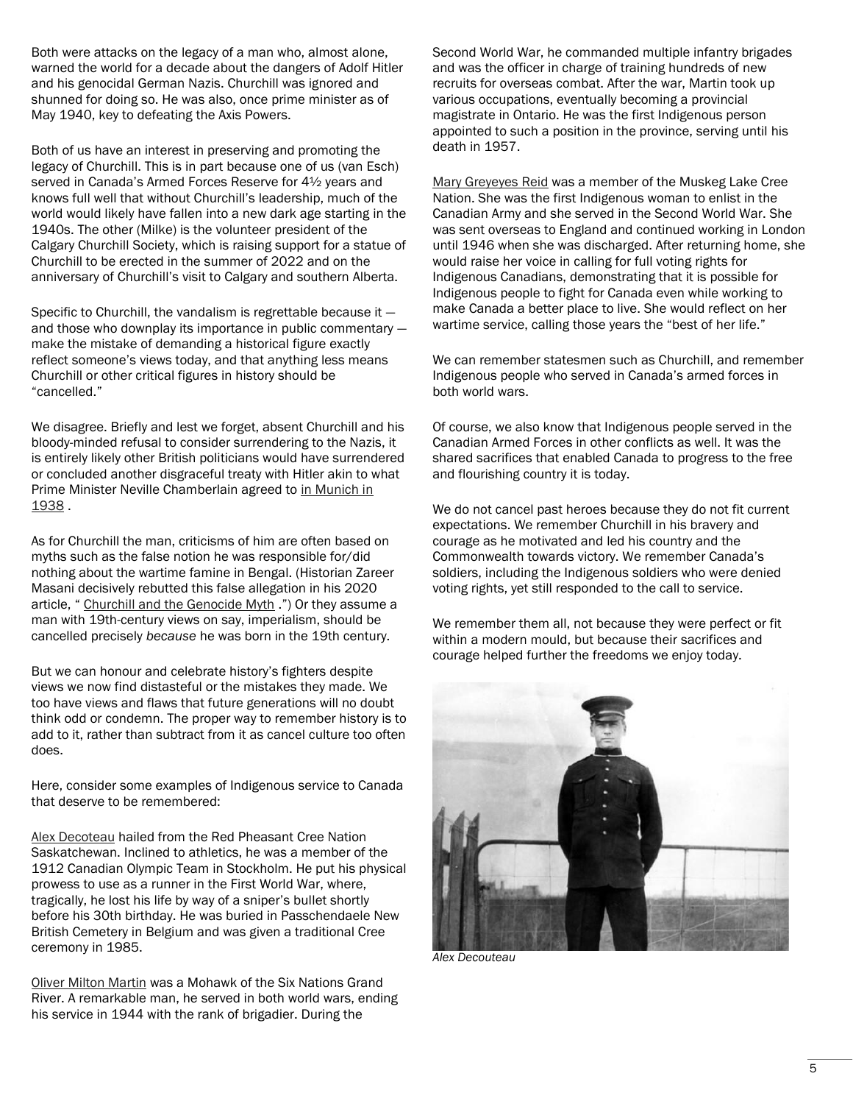Both were attacks on the legacy of a man who, almost alone, warned the world for a decade about the dangers of Adolf Hitler and his genocidal German Nazis. Churchill was ignored and shunned for doing so. He was also, once prime minister as of May 1940, key to defeating the Axis Powers.

Both of us have an interest in preserving and promoting the legacy of Churchill. This is in part because one of us (van Esch) served in Canada's Armed Forces Reserve for 4½ years and knows full well that without Churchill's leadership, much of the world would likely have fallen into a new dark age starting in the 1940s. The other (Milke) is the volunteer president of the Calgary Churchill Society, which is raising support for a statue of Churchill to be erected in the summer of 2022 and on the anniversary of Churchill's visit to Calgary and southern Alberta.

Specific to Churchill, the vandalism is regrettable because it and those who downplay its importance in public commentary make the mistake of demanding a historical figure exactly reflect someone's views today, and that anything less means Churchill or other critical figures in history should be "cancelled."

We disagree. Briefly and lest we forget, absent Churchill and his bloody-minded refusal to consider surrendering to the Nazis, it is entirely likely other British politicians would have surrendered or concluded another disgraceful treaty with Hitler akin to what Prime Minister Neville Chamberlain agreed to in Munich in [1938](http://www.emersonkent.com/speeches/peace_in_our_time.htm) .

As for Churchill the man, criticisms of him are often based on myths such as the false notion he was responsible for/did nothing about the wartime famine in Bengal. (Historian Zareer Masani decisively rebutted this false allegation in his 2020 article, " [Churchill and the Genocide Myth](https://thecritic.co.uk/issues/de-cember-2020/churchill-and-the-genocide-myth/) .") Or they assume a man with 19th-century views on say, imperialism, should be cancelled precisely *because* he was born in the 19th century.

But we can honour and celebrate history's fighters despite views we now find distasteful or the mistakes they made. We too have views and flaws that future generations will no doubt think odd or condemn. The proper way to remember history is to add to it, rather than subtract from it as cancel culture too often does.

Here, consider some examples of Indigenous service to Canada that deserve to be remembered:

[Alex Decoteau](https://valourcanada.ca/military-history-library/alex-decoteau/) hailed from the Red Pheasant Cree Nation Saskatchewan. Inclined to athletics, he was a member of the 1912 Canadian Olympic Team in Stockholm. He put his physical prowess to use as a runner in the First World War, where, tragically, he lost his life by way of a sniper's bullet shortly before his 30th birthday. He was buried in Passchendaele New British Cemetery in Belgium and was given a traditional Cree ceremony in 1985.

[Oliver Milton Martin](https://www.veterans.gc.ca/eng/remembrance/those-who-served/indigenous-veterans/native-soldiers/magistrate) was a Mohawk of the Six Nations Grand River. A remarkable man, he served in both world wars, ending his service in 1944 with the rank of brigadier. During the

Second World War, he commanded multiple infantry brigades and was the officer in charge of training hundreds of new recruits for overseas combat. After the war, Martin took up various occupations, eventually becoming a provincial magistrate in Ontario. He was the first Indigenous person appointed to such a position in the province, serving until his death in 1957.

[Mary Greyeyes Reid](https://www.thecanadianencyclopedia.ca/en/article/mary-greyeyes) was a member of the Muskeg Lake Cree Nation. She was the first Indigenous woman to enlist in the Canadian Army and she served in the Second World War. She was sent overseas to England and continued working in London until 1946 when she was discharged. After returning home, she would raise her voice in calling for full voting rights for Indigenous Canadians, demonstrating that it is possible for Indigenous people to fight for Canada even while working to make Canada a better place to live. She would reflect on her wartime service, calling those years the "best of her life."

We can remember statesmen such as Churchill, and remember Indigenous people who served in Canada's armed forces in both world wars.

Of course, we also know that Indigenous people served in the Canadian Armed Forces in other conflicts as well. It was the shared sacrifices that enabled Canada to progress to the free and flourishing country it is today.

We do not cancel past heroes because they do not fit current expectations. We remember Churchill in his bravery and courage as he motivated and led his country and the Commonwealth towards victory. We remember Canada's soldiers, including the Indigenous soldiers who were denied voting rights, yet still responded to the call to service.

We remember them all, not because they were perfect or fit within a modern mould, but because their sacrifices and courage helped further the freedoms we enjoy today.



*Alex Decouteau*